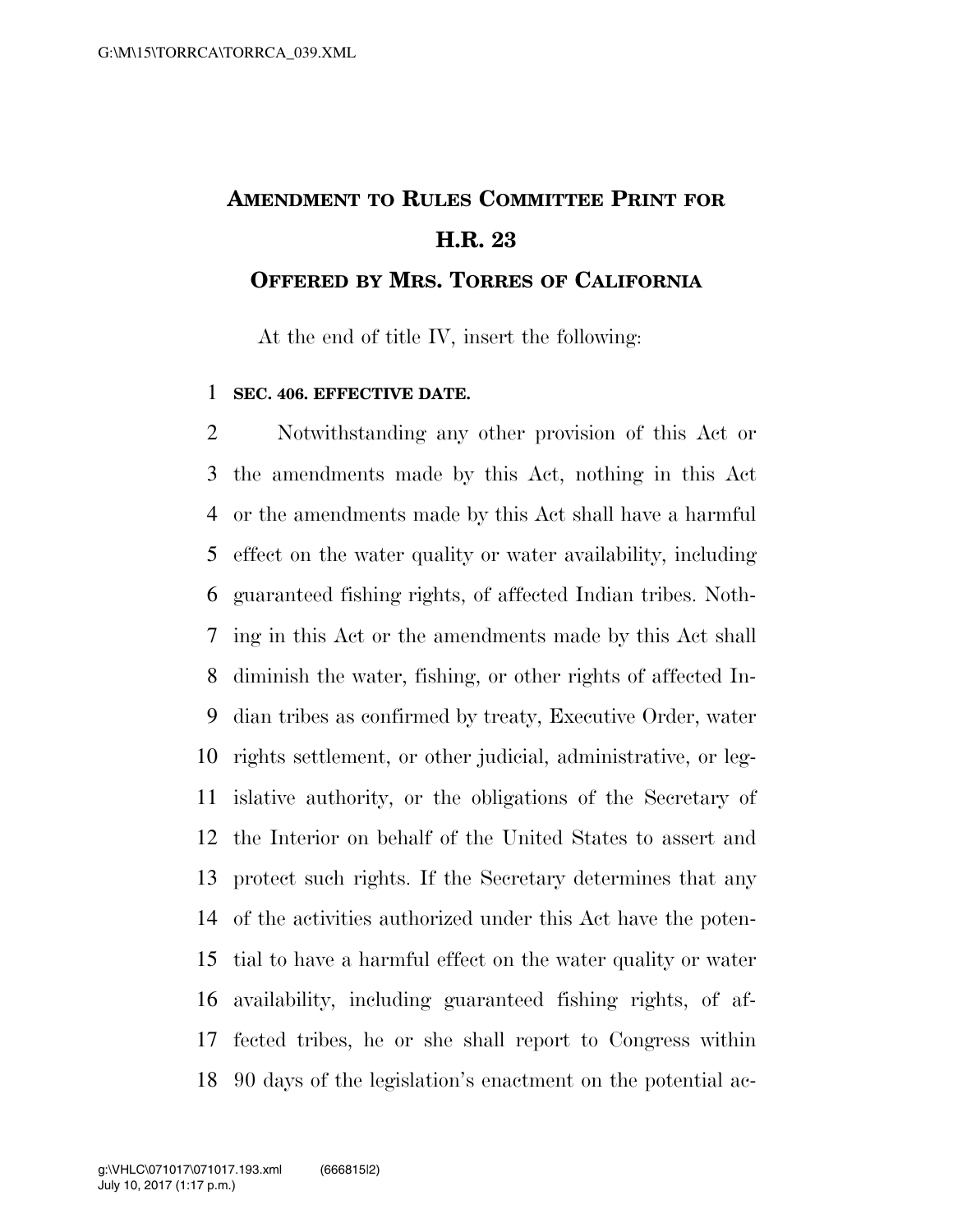## **AMENDMENT TO RULES COMMITTEE PRINT FOR H.R. 23**

## **OFFERED BY MRS. TORRES OF CALIFORNIA**

At the end of title IV, insert the following:

## **SEC. 406. EFFECTIVE DATE.**

 Notwithstanding any other provision of this Act or the amendments made by this Act, nothing in this Act or the amendments made by this Act shall have a harmful effect on the water quality or water availability, including guaranteed fishing rights, of affected Indian tribes. Noth- ing in this Act or the amendments made by this Act shall diminish the water, fishing, or other rights of affected In- dian tribes as confirmed by treaty, Executive Order, water rights settlement, or other judicial, administrative, or leg- islative authority, or the obligations of the Secretary of the Interior on behalf of the United States to assert and protect such rights. If the Secretary determines that any of the activities authorized under this Act have the poten- tial to have a harmful effect on the water quality or water availability, including guaranteed fishing rights, of af- fected tribes, he or she shall report to Congress within 90 days of the legislation's enactment on the potential ac-